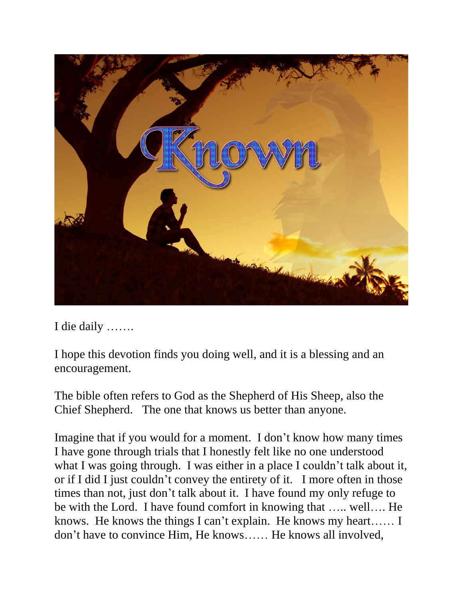

I die daily …….

I hope this devotion finds you doing well, and it is a blessing and an encouragement.

The bible often refers to God as the Shepherd of His Sheep, also the Chief Shepherd. The one that knows us better than anyone.

Imagine that if you would for a moment. I don't know how many times I have gone through trials that I honestly felt like no one understood what I was going through. I was either in a place I couldn't talk about it, or if I did I just couldn't convey the entirety of it. I more often in those times than not, just don't talk about it. I have found my only refuge to be with the Lord. I have found comfort in knowing that ….. well…. He knows. He knows the things I can't explain. He knows my heart…… I don't have to convince Him, He knows…… He knows all involved,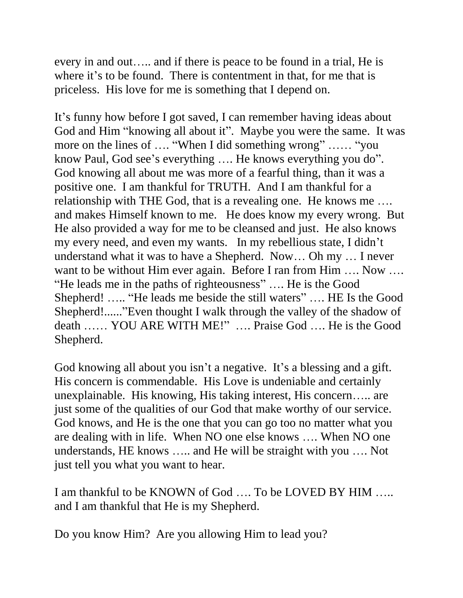every in and out….. and if there is peace to be found in a trial, He is where it's to be found. There is contentment in that, for me that is priceless. His love for me is something that I depend on.

It's funny how before I got saved, I can remember having ideas about God and Him "knowing all about it". Maybe you were the same. It was more on the lines of …. "When I did something wrong" …… "you know Paul, God see's everything …. He knows everything you do". God knowing all about me was more of a fearful thing, than it was a positive one. I am thankful for TRUTH. And I am thankful for a relationship with THE God, that is a revealing one. He knows me …. and makes Himself known to me. He does know my every wrong. But He also provided a way for me to be cleansed and just. He also knows my every need, and even my wants. In my rebellious state, I didn't understand what it was to have a Shepherd. Now… Oh my … I never want to be without Him ever again. Before I ran from Him .... Now .... "He leads me in the paths of righteousness" …. He is the Good Shepherd! ….. "He leads me beside the still waters" …. HE Is the Good Shepherd!......"Even thought I walk through the valley of the shadow of death …… YOU ARE WITH ME!" …. Praise God …. He is the Good Shepherd.

God knowing all about you isn't a negative. It's a blessing and a gift. His concern is commendable. His Love is undeniable and certainly unexplainable. His knowing, His taking interest, His concern….. are just some of the qualities of our God that make worthy of our service. God knows, and He is the one that you can go too no matter what you are dealing with in life. When NO one else knows …. When NO one understands, HE knows ….. and He will be straight with you …. Not just tell you what you want to hear.

I am thankful to be KNOWN of God …. To be LOVED BY HIM ….. and I am thankful that He is my Shepherd.

Do you know Him? Are you allowing Him to lead you?